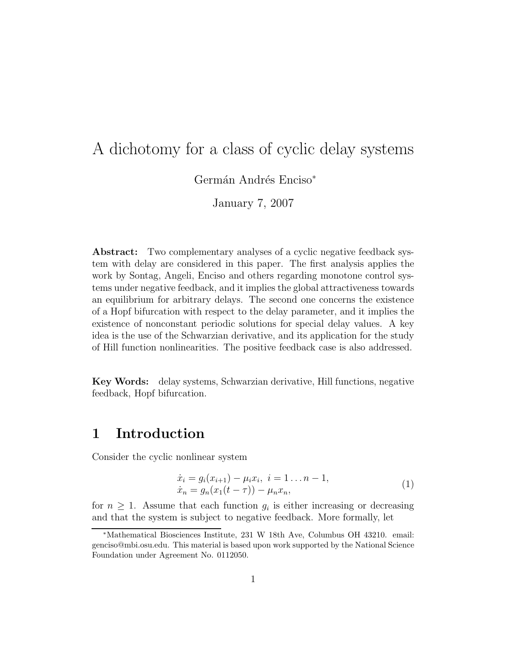# A dichotomy for a class of cyclic delay systems

Germán Andrés Enciso<sup>\*</sup>

January 7, 2007

**Abstract:** Two complementary analyses of a cyclic negative feedback system with delay are considered in this paper. The first analysis applies the work by Sontag, Angeli, Enciso and others regarding monotone control systems under negative feedback, and it implies the global attractiveness towards an equilibrium for arbitrary delays. The second one concerns the existence of a Hopf bifurcation with respect to the delay parameter, and it implies the existence of nonconstant periodic solutions for special delay values. A key idea is the use of the Schwarzian derivative, and its application for the study of Hill function nonlinearities. The positive feedback case is also addressed.

**Key Words:** delay systems, Schwarzian derivative, Hill functions, negative feedback, Hopf bifurcation.

# **1 Introduction**

Consider the cyclic nonlinear system

$$
\begin{aligned} \dot{x}_i &= g_i(x_{i+1}) - \mu_i x_i, \ i = 1 \dots n - 1, \\ \dot{x}_n &= g_n(x_1(t - \tau)) - \mu_n x_n, \end{aligned} \tag{1}
$$

for  $n \geq 1$ . Assume that each function  $g_i$  is either increasing or decreasing and that the system is subject to negative feedback. More formally, let

<sup>∗</sup>Mathematical Biosciences Institute, 231 W 18th Ave, Columbus OH 43210. email: genciso@mbi.osu.edu. This material is based upon work supported by the National Science Foundation under Agreement No. 0112050.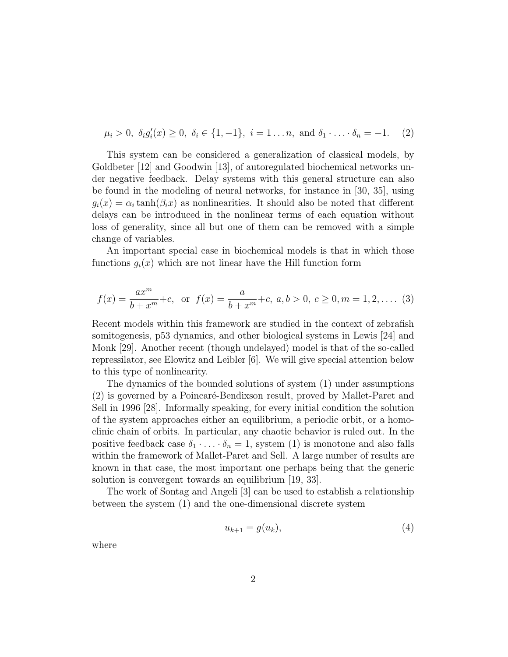$$
\mu_i > 0
$$
,  $\delta_i g'_i(x) \ge 0$ ,  $\delta_i \in \{1, -1\}$ ,  $i = 1 \dots n$ , and  $\delta_1 \cdot \dots \cdot \delta_n = -1$ . (2)

This system can be considered a generalization of classical models, by Goldbeter [12] and Goodwin [13], of autoregulated biochemical networks under negative feedback. Delay systems with this general structure can also be found in the modeling of neural networks, for instance in [30, 35], using  $g_i(x) = \alpha_i \tanh(\beta_i x)$  as nonlinearities. It should also be noted that different delays can be introduced in the nonlinear terms of each equation without loss of generality, since all but one of them can be removed with a simple change of variables.

An important special case in biochemical models is that in which those functions  $g_i(x)$  which are not linear have the Hill function form

$$
f(x) = \frac{ax^m}{b+x^m} + c, \text{ or } f(x) = \frac{a}{b+x^m} + c, a, b > 0, c \ge 0, m = 1, 2, .... (3)
$$

Recent models within this framework are studied in the context of zebrafish somitogenesis, p53 dynamics, and other biological systems in Lewis [24] and Monk [29]. Another recent (though undelayed) model is that of the so-called repressilator, see Elowitz and Leibler [6]. We will give special attention below to this type of nonlinearity.

The dynamics of the bounded solutions of system (1) under assumptions (2) is governed by a Poincaré-Bendixson result, proved by Mallet-Paret and Sell in 1996 [28]. Informally speaking, for every initial condition the solution of the system approaches either an equilibrium, a periodic orbit, or a homoclinic chain of orbits. In particular, any chaotic behavior is ruled out. In the positive feedback case  $\delta_1 \cdot \ldots \cdot \delta_n = 1$ , system (1) is monotone and also falls within the framework of Mallet-Paret and Sell. A large number of results are known in that case, the most important one perhaps being that the generic solution is convergent towards an equilibrium [19, 33].

The work of Sontag and Angeli [3] can be used to establish a relationship between the system (1) and the one-dimensional discrete system

$$
u_{k+1} = g(u_k),\tag{4}
$$

where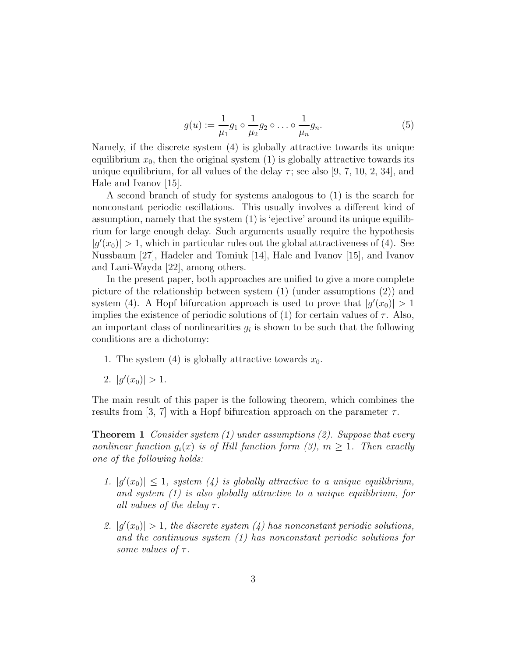$$
g(u) := \frac{1}{\mu_1} g_1 \circ \frac{1}{\mu_2} g_2 \circ \dots \circ \frac{1}{\mu_n} g_n.
$$
 (5)

Namely, if the discrete system (4) is globally attractive towards its unique equilibrium  $x_0$ , then the original system  $(1)$  is globally attractive towards its unique equilibrium, for all values of the delay  $\tau$ ; see also [9, 7, 10, 2, 34], and Hale and Ivanov [15].

A second branch of study for systems analogous to (1) is the search for nonconstant periodic oscillations. This usually involves a different kind of assumption, namely that the system (1) is 'ejective' around its unique equilibrium for large enough delay. Such arguments usually require the hypothesis  $|g'(x_0)| > 1$ , which in particular rules out the global attractiveness of (4). See Nussbaum [27], Hadeler and Tomiuk [14], Hale and Ivanov [15], and Ivanov and Lani-Wayda [22], among others.

In the present paper, both approaches are unified to give a more complete picture of the relationship between system (1) (under assumptions (2)) and system (4). A Hopf bifurcation approach is used to prove that  $|g'(x_0)| > 1$ implies the existence of periodic solutions of (1) for certain values of  $\tau$ . Also, an important class of nonlinearities  $g_i$  is shown to be such that the following conditions are a dichotomy:

- 1. The system  $(4)$  is globally attractive towards  $x_0$ .
- 2.  $|g'(x_0)| > 1.$

The main result of this paper is the following theorem, which combines the results from [3, 7] with a Hopf bifurcation approach on the parameter  $\tau$ .

**Theorem 1** *Consider system (1) under assumptions (2). Suppose that every nonlinear function*  $g_i(x)$  *is of Hill function form* (3),  $m \geq 1$ . Then exactly *one of the following holds:*

- 1.  $|g'(x_0)| \leq 1$ , system (4) is globally attractive to a unique equilibrium, *and system (1) is also globally attractive to a unique equilibrium, for all values of the delay*  $\tau$ *.*
- 2.  $|g'(x_0)| > 1$ , the discrete system (4) has nonconstant periodic solutions, *and the continuous system (1) has nonconstant periodic solutions for some values of τ .*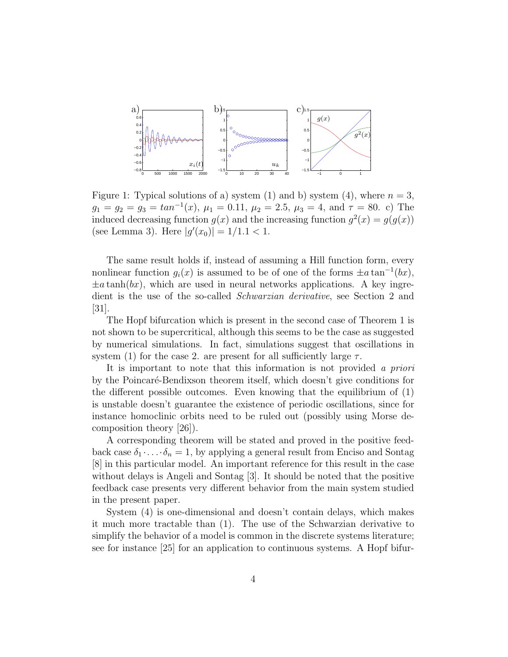

Figure 1: Typical solutions of a) system (1) and b) system (4), where  $n = 3$ ,  $g_1 = g_2 = g_3 = \tan^{-1}(x)$ ,  $\mu_1 = 0.11$ ,  $\mu_2 = 2.5$ ,  $\mu_3 = 4$ , and  $\tau = 80$ . c) The induced decreasing function  $g(x)$  and the increasing function  $g^2(x) = g(g(x))$  $(\text{see Lemma 3}). \text{ Here } |g'(x_0)| = 1/1.1 < 1.$ 

The same result holds if, instead of assuming a Hill function form, every nonlinear function  $g_i(x)$  is assumed to be of one of the forms  $\pm a \tan^{-1}(bx)$ ,  $\pm a \tanh(bx)$ , which are used in neural networks applications. A key ingredient is the use of the so-called *Schwarzian derivative*, see Section 2 and  $|31|$ .

The Hopf bifurcation which is present in the second case of Theorem 1 is not shown to be supercritical, although this seems to be the case as suggested by numerical simulations. In fact, simulations suggest that oscillations in system (1) for the case 2. are present for all sufficiently large  $\tau$ .

It is important to note that this information is not provided *a priori* by the Poincaré-Bendixson theorem itself, which doesn't give conditions for the different possible outcomes. Even knowing that the equilibrium of (1) is unstable doesn't guarantee the existence of periodic oscillations, since for instance homoclinic orbits need to be ruled out (possibly using Morse decomposition theory [26]).

A corresponding theorem will be stated and proved in the positive feedback case  $\delta_1 \cdot \ldots \cdot \delta_n = 1$ , by applying a general result from Enciso and Sontag [8] in this particular model. An important reference for this result in the case without delays is Angeli and Sontag [3]. It should be noted that the positive feedback case presents very different behavior from the main system studied in the present paper.

System (4) is one-dimensional and doesn't contain delays, which makes it much more tractable than (1). The use of the Schwarzian derivative to simplify the behavior of a model is common in the discrete systems literature; see for instance [25] for an application to continuous systems. A Hopf bifur-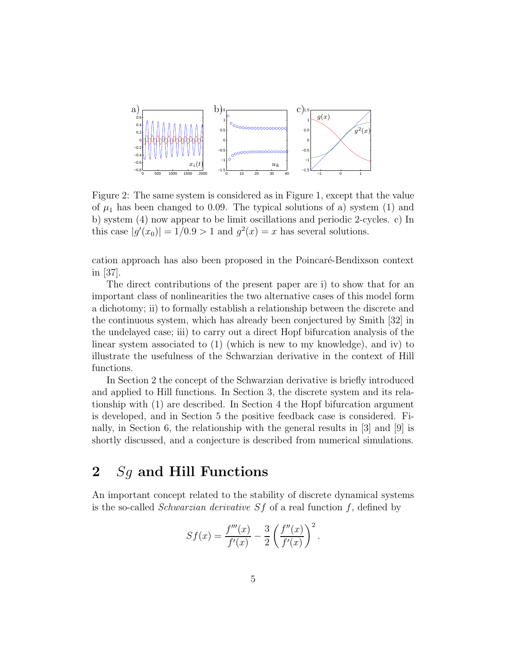

Figure 2: The same system is considered as in Figure 1, except that the value of  $\mu_1$  has been changed to 0.09. The typical solutions of a) system (1) and b) system (4) now appear to be limit oscillations and periodic 2-cycles. c) In this case  $|g'(x_0)| = 1/0.9 > 1$  and  $g^2(x) = x$  has several solutions.

cation approach has also been proposed in the Poincaré-Bendixson context in [37].

The direct contributions of the present paper are i) to show that for an important class of nonlinearities the two alternative cases of this model form a dichotomy; ii) to formally establish a relationship between the discrete and the continuous system, which has already been conjectured by Smith [32] in the undelayed case; iii) to carry out a direct Hopf bifurcation analysis of the linear system associated to (1) (which is new to my knowledge), and iv) to illustrate the usefulness of the Schwarzian derivative in the context of Hill functions.

In Section 2 the concept of the Schwarzian derivative is briefly introduced and applied to Hill functions. In Section 3, the discrete system and its relationship with (1) are described. In Section 4 the Hopf bifurcation argument is developed, and in Section 5 the positive feedback case is considered. Finally, in Section 6, the relationship with the general results in [3] and [9] is shortly discussed, and a conjecture is described from numerical simulations.

# **2** *Sg* **and Hill Functions**

An important concept related to the stability of discrete dynamical systems is the so-called *Schwarzian derivative Sf* of a real function *f*, defined by

$$
Sf(x) = \frac{f'''(x)}{f'(x)} - \frac{3}{2} \left( \frac{f''(x)}{f'(x)} \right)^2.
$$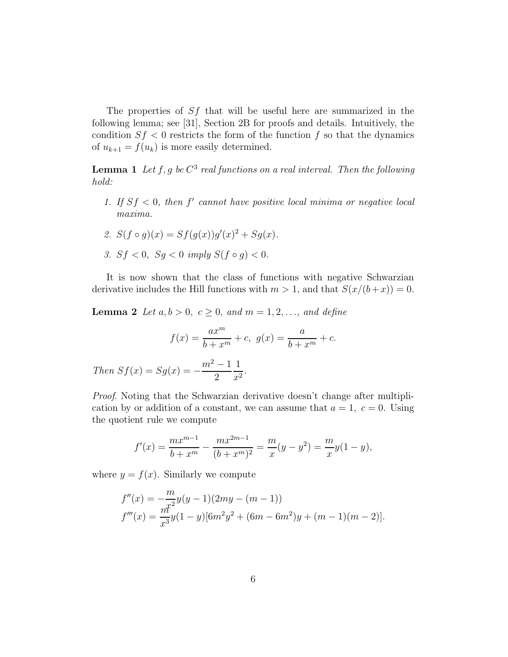The properties of *Sf* that will be useful here are summarized in the following lemma; see [31], Section 2B for proofs and details. Intuitively, the condition  $S_f < 0$  restricts the form of the function  $f$  so that the dynamics of  $u_{k+1} = f(u_k)$  is more easily determined.

**Lemma 1** Let  $f, g$  be  $C^3$  real functions on a real interval. Then the following *hold:*

1. If  $Sf < 0$ , then  $f'$  cannot have positive local minima or negative local *maxima.*

2. 
$$
S(f \circ g)(x) = Sf(g(x))g'(x)^2 + Sg(x)
$$
.

*3.*  $Sf < 0$ *,*  $Sg < 0$  *imply*  $S(f \circ g) < 0$ *.* 

It is now shown that the class of functions with negative Schwarzian derivative includes the Hill functions with  $m > 1$ , and that  $S(x/(b+x)) = 0$ .

**Lemma 2** *Let*  $a, b > 0$ *,*  $c \ge 0$ *,* and  $m = 1, 2, ...,$  and define

$$
f(x) = \frac{ax^m}{b+x^m} + c, \ g(x) = \frac{a}{b+x^m} + c.
$$

Then 
$$
Sf(x) = Sg(x) = -\frac{m^2 - 1}{2} \frac{1}{x^2}
$$
.

*Proof*. Noting that the Schwarzian derivative doesn't change after multiplication by or addition of a constant, we can assume that  $a = 1, c = 0$ . Using the quotient rule we compute

$$
f'(x) = \frac{mx^{m-1}}{b+x^m} - \frac{mx^{2m-1}}{(b+x^m)^2} = \frac{m}{x}(y-y^2) = \frac{m}{x}y(1-y),
$$

where  $y = f(x)$ . Similarly we compute

$$
f''(x) = -\frac{m}{x^2}y(y-1)(2my - (m-1))
$$
  

$$
f'''(x) = \frac{m^2}{x^3}y(1-y)[6m^2y^2 + (6m - 6m^2)y + (m-1)(m-2)].
$$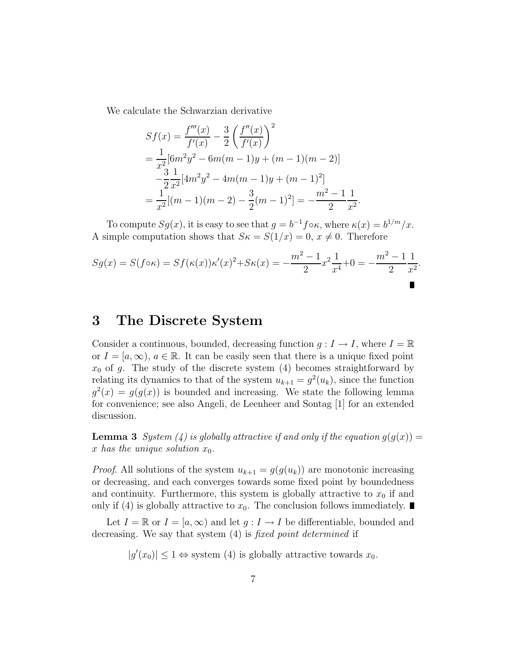We calculate the Schwarzian derivative

$$
Sf(x) = \frac{f'''(x)}{f'(x)} - \frac{3}{2} \left(\frac{f''(x)}{f'(x)}\right)^2
$$
  
=  $\frac{1}{x^2} [6m^2 y^2 - 6m(m-1)y + (m-1)(m-2)]$   
 $-\frac{3}{2} \frac{1}{x^2} [4m^2 y^2 - 4m(m-1)y + (m-1)^2]$   
=  $\frac{1}{x^2} [(m-1)(m-2) - \frac{3}{2} (m-1)^2] = -\frac{m^2 - 1}{2} \frac{1}{x^2}.$ 

To compute  $Sg(x)$ , it is easy to see that  $g = b^{-1}f \circ \kappa$ , where  $\kappa(x) = b^{1/m}/x$ . A simple computation shows that  $S\kappa = S(1/x) = 0, x \neq 0$ . Therefore

$$
Sg(x) = S(f \circ \kappa) = Sf(\kappa(x))\kappa'(x)^2 + S\kappa(x) = -\frac{m^2 - 1}{2}x^2\frac{1}{x^4} + 0 = -\frac{m^2 - 1}{2}\frac{1}{x^2}.
$$

### **3 The Discrete System**

Consider a continuous, bounded, decreasing function  $g: I \to I$ , where  $I = \mathbb{R}$ or  $I = [a, \infty), a \in \mathbb{R}$ . It can be easily seen that there is a unique fixed point  $x_0$  of g. The study of the discrete system (4) becomes straightforward by relating its dynamics to that of the system  $u_{k+1} = g^2(u_k)$ , since the function  $g^{2}(x) = g(g(x))$  is bounded and increasing. We state the following lemma for convenience; see also Angeli, de Leenheer and Sontag [1] for an extended discussion.

**Lemma 3** *System* (4) is globally attractive if and only if the equation  $g(g(x)) =$ *x* has the unique solution  $x_0$ .

*Proof.* All solutions of the system  $u_{k+1} = g(g(u_k))$  are monotonic increasing or decreasing, and each converges towards some fixed point by boundedness and continuity. Furthermore, this system is globally attractive to  $x_0$  if and only if (4) is globally attractive to  $x_0$ . The conclusion follows immediately.

Let  $I = \mathbb{R}$  or  $I = [a, \infty)$  and let  $q: I \to I$  be differentiable, bounded and decreasing. We say that system (4) is *fixed point determined* if

 $|g'(x_0)| \leq 1 \Leftrightarrow$  system (4) is globally attractive towards  $x_0$ .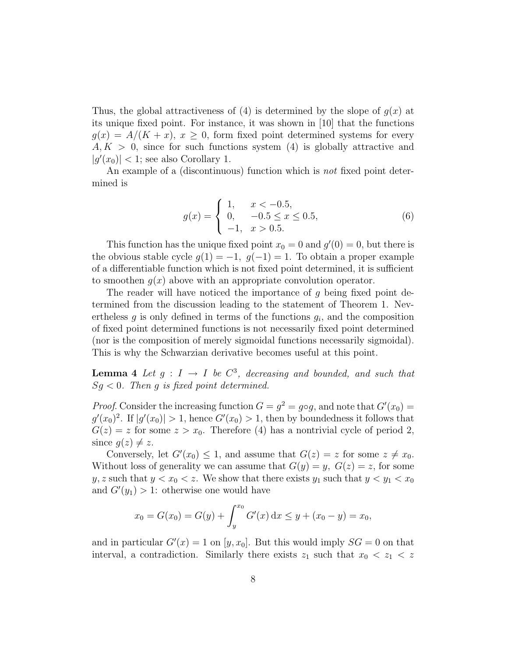Thus, the global attractiveness of (4) is determined by the slope of  $q(x)$  at its unique fixed point. For instance, it was shown in [10] that the functions  $g(x) = A/(K + x)$ ,  $x \geq 0$ , form fixed point determined systems for every *A, K >* 0, since for such functions system (4) is globally attractive and  $|g'(x_0)| < 1$ ; see also Corollary 1.

An example of a (discontinuous) function which is *not* fixed point determined is

$$
g(x) = \begin{cases} 1, & x < -0.5, \\ 0, & -0.5 \le x \le 0.5, \\ -1, & x > 0.5. \end{cases}
$$
(6)

This function has the unique fixed point  $x_0 = 0$  and  $g'(0) = 0$ , but there is the obvious stable cycle  $g(1) = -1$ ,  $g(-1) = 1$ . To obtain a proper example of a differentiable function which is not fixed point determined, it is sufficient to smoothen *g*(*x*) above with an appropriate convolution operator.

The reader will have noticed the importance of *g* being fixed point determined from the discussion leading to the statement of Theorem 1. Nevertheless  $g$  is only defined in terms of the functions  $g_i$ , and the composition of fixed point determined functions is not necessarily fixed point determined (nor is the composition of merely sigmoidal functions necessarily sigmoidal). This is why the Schwarzian derivative becomes useful at this point.

**Lemma 4** Let  $q: I \to I$  be  $C^3$ , decreasing and bounded, and such that *Sg <* 0*. Then g is fixed point determined.*

*Proof.* Consider the increasing function  $G = g^2 = g \circ g$ , and note that  $G'(x_0) =$  $g'(x_0)^2$ . If  $|g'(x_0)| > 1$ , hence  $G'(x_0) > 1$ , then by boundedness it follows that  $G(z) = z$  for some  $z > x_0$ . Therefore (4) has a nontrivial cycle of period 2, since  $g(z) \neq z$ .

Conversely, let  $G'(x_0) \leq 1$ , and assume that  $G(z) = z$  for some  $z \neq x_0$ . Without loss of generality we can assume that  $G(y) = y$ ,  $G(z) = z$ , for some *y*, *z* such that  $y < x_0 < z$ . We show that there exists  $y_1$  such that  $y < y_1 < x_0$ and  $G'(y_1) > 1$ : otherwise one would have

$$
x_0 = G(x_0) = G(y) + \int_y^{x_0} G'(x) dx \le y + (x_0 - y) = x_0,
$$

and in particular  $G'(x) = 1$  on  $[y, x_0]$ . But this would imply  $SG = 0$  on that interval, a contradiction. Similarly there exists  $z_1$  such that  $x_0 < z_1 < z$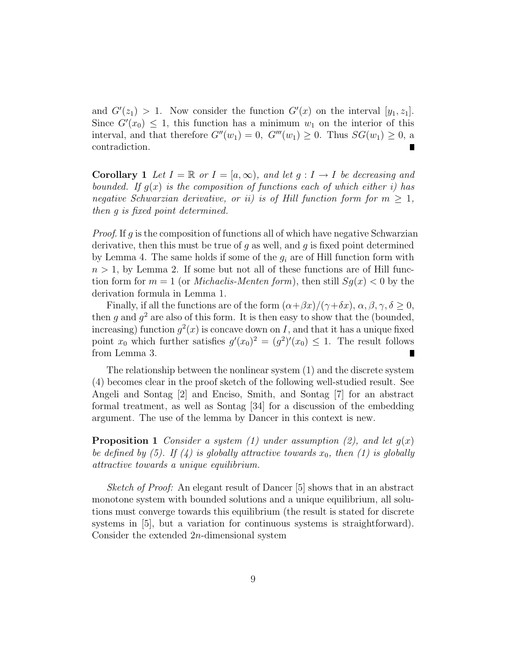and  $G'(z_1) > 1$ . Now consider the function  $G'(x)$  on the interval  $[y_1, z_1]$ . Since  $G'(x_0) \leq 1$ , this function has a minimum  $w_1$  on the interior of this interval, and that therefore  $G''(w_1)=0$ ,  $G'''(w_1)\geq 0$ . Thus  $SG(w_1)\geq 0$ , a contradiction.

**Corollary 1** Let  $I = \mathbb{R}$  or  $I = [a, \infty)$ , and let  $g: I \to I$  be decreasing and *bounded.* If  $q(x)$  *is the composition of functions each of which either i)* has *negative Schwarzian derivative, or ii) is of Hill function form for*  $m > 1$ *, then g is fixed point determined.*

*Proof.* If *g* is the composition of functions all of which have negative Schwarzian derivative, then this must be true of *g* as well, and *g* is fixed point determined by Lemma 4. The same holds if some of the  $g_i$  are of Hill function form with  $n > 1$ , by Lemma 2. If some but not all of these functions are of Hill function form for  $m = 1$  (or *Michaelis-Menten form*), then still  $Sq(x) < 0$  by the derivation formula in Lemma 1.

Finally, if all the functions are of the form  $(\alpha + \beta x)/(\gamma + \delta x)$ ,  $\alpha, \beta, \gamma, \delta \geq 0$ , then  $g$  and  $g^2$  are also of this form. It is then easy to show that the (bounded, increasing) function  $q^2(x)$  is concave down on *I*, and that it has a unique fixed point  $x_0$  which further satisfies  $g'(x_0)^2 = (g^2)'(x_0) \leq 1$ . The result follows from Lemma 3.

The relationship between the nonlinear system (1) and the discrete system (4) becomes clear in the proof sketch of the following well-studied result. See Angeli and Sontag [2] and Enciso, Smith, and Sontag [7] for an abstract formal treatment, as well as Sontag [34] for a discussion of the embedding argument. The use of the lemma by Dancer in this context is new.

**Proposition 1** *Consider a system (1) under assumption (2), and let*  $g(x)$ *be defined by (5). If (4) is globally attractive towards*  $x_0$ , then (1) is globally *attractive towards a unique equilibrium.*

*Sketch of Proof:* An elegant result of Dancer [5] shows that in an abstract monotone system with bounded solutions and a unique equilibrium, all solutions must converge towards this equilibrium (the result is stated for discrete systems in [5], but a variation for continuous systems is straightforward). Consider the extended 2*n*-dimensional system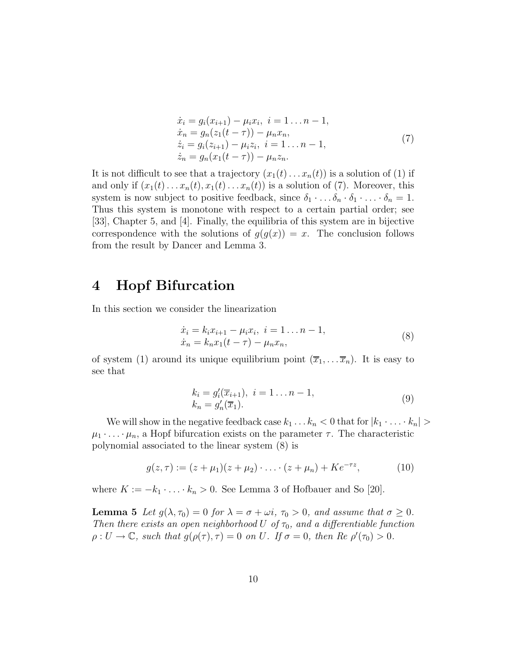$$
\begin{aligned}\n\dot{x}_i &= g_i(x_{i+1}) - \mu_i x_i, \ i = 1 \dots n - 1, \\
\dot{x}_n &= g_n(z_1(t - \tau)) - \mu_n x_n, \\
\dot{z}_i &= g_i(z_{i+1}) - \mu_i z_i, \ i = 1 \dots n - 1, \\
\dot{z}_n &= g_n(x_1(t - \tau)) - \mu_n z_n.\n\end{aligned} \tag{7}
$$

It is not difficult to see that a trajectory  $(x_1(t) \ldots x_n(t))$  is a solution of (1) if and only if  $(x_1(t),...,x_n(t),x_1(t),...x_n(t))$  is a solution of (7). Moreover, this system is now subject to positive feedback, since  $\delta_1 \cdot \ldots \delta_n \cdot \delta_1 \cdot \ldots \cdot \delta_n = 1$ . Thus this system is monotone with respect to a certain partial order; see [33], Chapter 5, and [4]. Finally, the equilibria of this system are in bijective correspondence with the solutions of  $q(q(x)) = x$ . The conclusion follows from the result by Dancer and Lemma 3.

# **4 Hopf Bifurcation**

In this section we consider the linearization

$$
\begin{aligned} \dot{x}_i &= k_i x_{i+1} - \mu_i x_i, \ i = 1 \dots n - 1, \\ \dot{x}_n &= k_n x_1 (t - \tau) - \mu_n x_n, \end{aligned} \tag{8}
$$

of system (1) around its unique equilibrium point  $(\overline{x}_1, \ldots, \overline{x}_n)$ . It is easy to see that

$$
k_i = g'_i(\overline{x}_{i+1}), \ i = 1 \dots n - 1, k_n = g'_n(\overline{x}_1).
$$
 (9)

We will show in the negative feedback case  $k_1 \ldots k_n < 0$  that for  $|k_1 \ldots k_n| >$  $\mu_1 \cdot \ldots \cdot \mu_n$ , a Hopf bifurcation exists on the parameter  $\tau$ . The characteristic polynomial associated to the linear system (8) is

$$
g(z,\tau) := (z + \mu_1)(z + \mu_2) \cdot \ldots \cdot (z + \mu_n) + Ke^{-\tau z}, \tag{10}
$$

where  $K := -k_1 \cdot \ldots \cdot k_n > 0$ . See Lemma 3 of Hofbauer and So [20].

**Lemma 5** *Let*  $g(\lambda, \tau_0) = 0$  *for*  $\lambda = \sigma + \omega i$ ,  $\tau_0 > 0$ , and assume that  $\sigma \geq 0$ . *Then there exists an open neighborhood U of*  $\tau_0$ *, and a differentiable function*  $\rho: U \to \mathbb{C}$ *, such that*  $g(\rho(\tau), \tau) = 0$  *on U. If*  $\sigma = 0$ *, then Re*  $\rho'(\tau_0) > 0$ *.*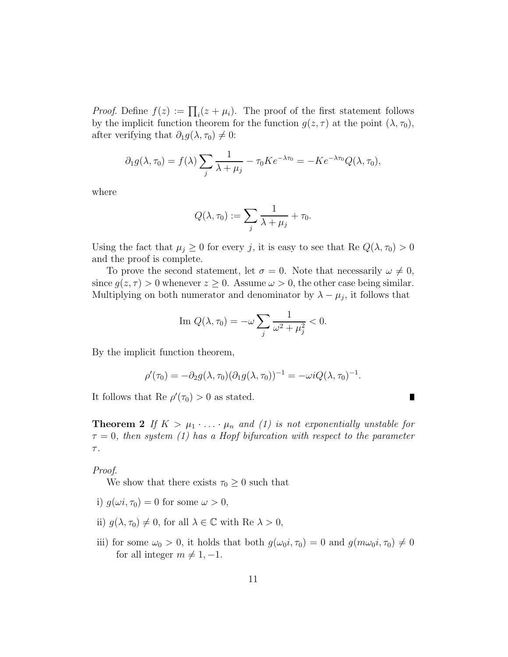*Proof.* Define  $f(z) := \prod_i (z + \mu_i)$ . The proof of the first statement follows by the implicit function theorem for the function  $g(z, \tau)$  at the point  $(\lambda, \tau_0)$ , after verifying that  $\partial_1 g(\lambda, \tau_0) \neq 0$ :

$$
\partial_1 g(\lambda, \tau_0) = f(\lambda) \sum_j \frac{1}{\lambda + \mu_j} - \tau_0 K e^{-\lambda \tau_0} = -K e^{-\lambda \tau_0} Q(\lambda, \tau_0),
$$

where

$$
Q(\lambda, \tau_0) := \sum_j \frac{1}{\lambda + \mu_j} + \tau_0.
$$

Using the fact that  $\mu_j \geq 0$  for every *j*, it is easy to see that Re  $Q(\lambda, \tau_0) > 0$ and the proof is complete.

To prove the second statement, let  $\sigma = 0$ . Note that necessarily  $\omega \neq 0$ , since  $g(z, \tau) > 0$  whenever  $z \geq 0$ . Assume  $\omega > 0$ , the other case being similar. Multiplying on both numerator and denominator by  $\lambda - \mu_j$ , it follows that

Im 
$$
Q(\lambda, \tau_0) = -\omega \sum_j \frac{1}{\omega^2 + \mu_j^2} < 0.
$$

By the implicit function theorem,

$$
\rho'(\tau_0) = -\partial_2 g(\lambda, \tau_0) (\partial_1 g(\lambda, \tau_0))^{-1} = -\omega i Q(\lambda, \tau_0)^{-1}.
$$

 $\blacksquare$ 

It follows that Re  $\rho'(\tau_0) > 0$  as stated.

**Theorem 2** If  $K > \mu_1 \cdot \ldots \cdot \mu_n$  and (1) is not exponentially unstable for *τ* = 0*, then system (1) has a Hopf bifurcation with respect to the parameter τ .*

*Proof*.

We show that there exists  $\tau_0 \geq 0$  such that

- i)  $q(\omega i, \tau_0) = 0$  for some  $\omega > 0$ ,
- ii)  $g(\lambda, \tau_0) \neq 0$ , for all  $\lambda \in \mathbb{C}$  with Re  $\lambda > 0$ ,
- iii) for some  $\omega_0 > 0$ , it holds that both  $g(\omega_0 i, \tau_0) = 0$  and  $g(m\omega_0 i, \tau_0) \neq 0$ for all integer  $m \neq 1, -1$ .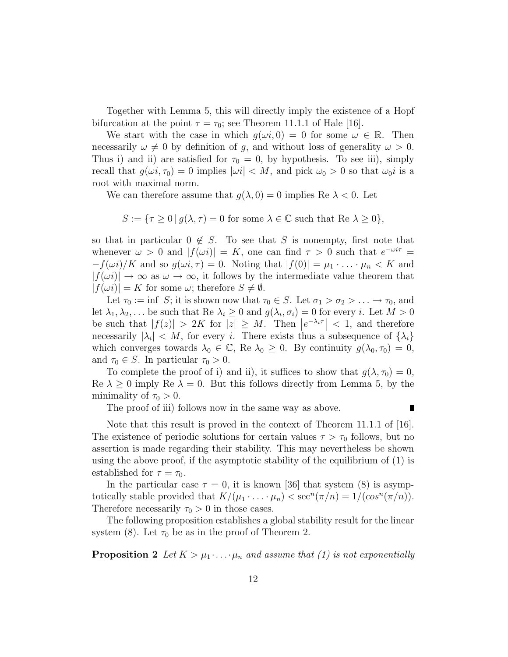Together with Lemma 5, this will directly imply the existence of a Hopf bifurcation at the point  $\tau = \tau_0$ ; see Theorem 11.1.1 of Hale [16].

We start with the case in which  $g(\omega i, 0) = 0$  for some  $\omega \in \mathbb{R}$ . Then necessarily  $\omega \neq 0$  by definition of *g*, and without loss of generality  $\omega > 0$ . Thus i) and ii) are satisfied for  $\tau_0 = 0$ , by hypothesis. To see iii), simply recall that  $g(\omega i, \tau_0) = 0$  implies  $|\omega i| < M$ , and pick  $\omega_0 > 0$  so that  $\omega_0 i$  is a root with maximal norm.

We can therefore assume that  $g(\lambda, 0) = 0$  implies Re  $\lambda < 0$ . Let

 $S := \{ \tau \geq 0 \mid g(\lambda, \tau) = 0 \text{ for some } \lambda \in \mathbb{C} \text{ such that } \text{Re } \lambda \geq 0 \},$ 

so that in particular  $0 \notin S$ . To see that *S* is nonempty, first note that whenever  $\omega > 0$  and  $|f(\omega i)| = K$ , one can find  $\tau > 0$  such that  $e^{-\omega i \tau} =$  $-f(\omega i)/K$  and so  $g(\omega i, \tau) = 0$ . Noting that  $|f(0)| = \mu_1 \cdot \ldots \cdot \mu_n < K$  and  $|f(\omega i)| \to \infty$  as  $\omega \to \infty$ , it follows by the intermediate value theorem that  $|f(\omega i)| = K$  for some  $\omega$ ; therefore  $S \neq \emptyset$ .

Let  $\tau_0 := \inf S$ ; it is shown now that  $\tau_0 \in S$ . Let  $\sigma_1 > \sigma_2 > \ldots \to \tau_0$ , and let  $\lambda_1, \lambda_2, \ldots$  be such that Re  $\lambda_i \geq 0$  and  $g(\lambda_i, \sigma_i) = 0$  for every *i*. Let  $M > 0$ be such that  $|f(z)| > 2K$  for  $|z| \geq M$ . Then  $|e^{-\lambda_i \tau}| < 1$ , and therefore necessarily  $|\lambda_i| < M$ , for every *i*. There exists thus a subsequence of  $\{\lambda_i\}$ which converges towards  $\lambda_0 \in \mathbb{C}$ , Re  $\lambda_0 \geq 0$ . By continuity  $g(\lambda_0, \tau_0) = 0$ , and  $\tau_0 \in S$ . In particular  $\tau_0 > 0$ .

To complete the proof of i) and ii), it suffices to show that  $g(\lambda, \tau_0) = 0$ , Re  $\lambda \geq 0$  imply Re  $\lambda = 0$ . But this follows directly from Lemma 5, by the minimality of  $\tau_0 > 0$ .

The proof of iii) follows now in the same way as above.

П

Note that this result is proved in the context of Theorem 11.1.1 of [16]. The existence of periodic solutions for certain values  $\tau > \tau_0$  follows, but no assertion is made regarding their stability. This may nevertheless be shown using the above proof, if the asymptotic stability of the equilibrium of (1) is established for  $\tau = \tau_0$ .

In the particular case  $\tau = 0$ , it is known [36] that system (8) is asymptotically stable provided that  $K/(\mu_1 \cdot \ldots \cdot \mu_n) < \sec^n(\pi/n) = 1/(\cos^n(\pi/n))$ . Therefore necessarily  $\tau_0 > 0$  in those cases.

The following proposition establishes a global stability result for the linear system (8). Let  $\tau_0$  be as in the proof of Theorem 2.

**Proposition 2** Let  $K > \mu_1 \cdots \mu_n$  and assume that (1) is not exponentially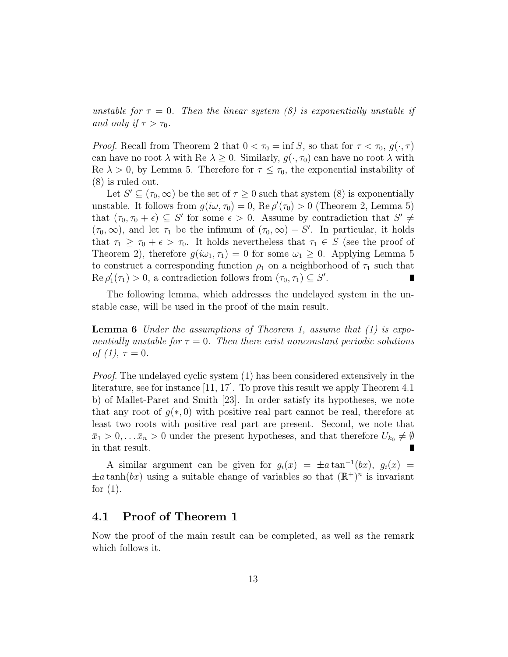*unstable for*  $\tau = 0$ . Then the linear system (8) is exponentially unstable if *and only if*  $\tau > \tau_0$ *.* 

*Proof.* Recall from Theorem 2 that  $0 < \tau_0 = \inf S$ , so that for  $\tau < \tau_0$ ,  $g(\cdot, \tau)$ can have no root  $\lambda$  with Re  $\lambda \geq 0$ . Similarly,  $g(\cdot, \tau_0)$  can have no root  $\lambda$  with Re  $\lambda > 0$ , by Lemma 5. Therefore for  $\tau \leq \tau_0$ , the exponential instability of (8) is ruled out.

Let  $S' \subseteq (\tau_0, \infty)$  be the set of  $\tau \geq 0$  such that system (8) is exponentially unstable. It follows from  $g(i\omega, \tau_0) = 0$ , Re  $\rho'(\tau_0) > 0$  (Theorem 2, Lemma 5) that  $(\tau_0, \tau_0 + \epsilon) \subseteq S'$  for some  $\epsilon > 0$ . Assume by contradiction that  $S' \neq$  $(\tau_0, \infty)$ , and let  $\tau_1$  be the infimum of  $(\tau_0, \infty) - S'$ . In particular, it holds that  $\tau_1 \geq \tau_0 + \epsilon > \tau_0$ . It holds nevertheless that  $\tau_1 \in S$  (see the proof of Theorem 2), therefore  $g(i\omega_1, \tau_1) = 0$  for some  $\omega_1 \geq 0$ . Applying Lemma 5 to construct a corresponding function  $\rho_1$  on a neighborhood of  $\tau_1$  such that  $\text{Re }\rho'_1(\tau_1) > 0$ , a contradiction follows from  $(\tau_0, \tau_1) \subseteq S'$ .

The following lemma, which addresses the undelayed system in the unstable case, will be used in the proof of the main result.

**Lemma 6** *Under the assumptions of Theorem 1, assume that (1) is exponentially unstable for*  $\tau = 0$ *. Then there exist nonconstant periodic solutions of*  $(1), \tau = 0$ .

*Proof*. The undelayed cyclic system (1) has been considered extensively in the literature, see for instance [11, 17]. To prove this result we apply Theorem 4.1 b) of Mallet-Paret and Smith [23]. In order satisfy its hypotheses, we note that any root of  $g(*, 0)$  with positive real part cannot be real, therefore at least two roots with positive real part are present. Second, we note that  $\bar{x}_1 > 0, \ldots, \bar{x}_n > 0$  under the present hypotheses, and that therefore  $U_{k_0} \neq \emptyset$ in that result.

A similar argument can be given for  $g_i(x) = \pm a \tan^{-1}(bx)$ ,  $g_i(x) =$  $\pm a \tanh(bx)$  using a suitable change of variables so that  $(\mathbb{R}^+)^n$  is invariant for  $(1)$ .

#### **4.1 Proof of Theorem 1**

Now the proof of the main result can be completed, as well as the remark which follows it.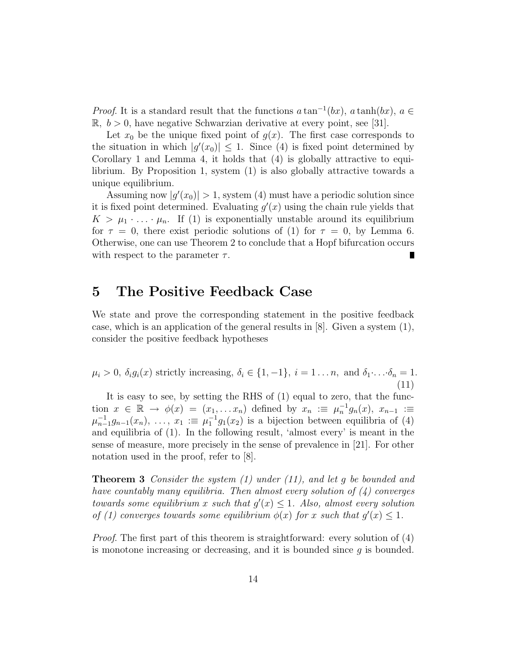*Proof.* It is a standard result that the functions  $a \tan^{-1}(bx)$ ,  $a \tanh(bx)$ ,  $a \in$  $\mathbb{R}, b > 0$ , have negative Schwarzian derivative at every point, see [31].

Let  $x_0$  be the unique fixed point of  $g(x)$ . The first case corresponds to the situation in which  $|g'(x_0)| \leq 1$ . Since (4) is fixed point determined by Corollary 1 and Lemma 4, it holds that (4) is globally attractive to equilibrium. By Proposition 1, system (1) is also globally attractive towards a unique equilibrium.

Assuming now  $|g'(x_0)| > 1$ , system (4) must have a periodic solution since it is fixed point determined. Evaluating  $g'(x)$  using the chain rule yields that  $K > \mu_1 \cdot \ldots \cdot \mu_n$ . If (1) is exponentially unstable around its equilibrium for  $\tau = 0$ , there exist periodic solutions of (1) for  $\tau = 0$ , by Lemma 6. Otherwise, one can use Theorem 2 to conclude that a Hopf bifurcation occurs with respect to the parameter  $\tau$ .

### **5 The Positive Feedback Case**

We state and prove the corresponding statement in the positive feedback case, which is an application of the general results in  $[8]$ . Given a system  $(1)$ , consider the positive feedback hypotheses

 $\mu_i > 0$ ,  $\delta_i g_i(x)$  strictly increasing,  $\delta_i \in \{1, -1\}$ ,  $i = 1 \dots n$ , and  $\delta_1 \dots \delta_n = 1$ . (11)

It is easy to see, by setting the RHS of (1) equal to zero, that the function  $x \in \mathbb{R} \to \phi(x) = (x_1, \ldots, x_n)$  defined by  $x_n := \mu_n^{-1} g_n(x), x_{n-1} :=$  $\mu_{n-1}^{-1}g_{n-1}(x_n), \ldots, x_1 := \mu_1^{-1}g_1(x_2)$  is a bijection between equilibria of (4) and equilibria of (1). In the following result, 'almost every' is meant in the sense of measure, more precisely in the sense of prevalence in [21]. For other notation used in the proof, refer to [8].

**Theorem 3** *Consider the system (1) under (11), and let g be bounded and have countably many equilibria. Then almost every solution of (4) converges towards some equilibrium x such that*  $g'(x) \leq 1$ *. Also, almost every solution of* (1) converges towards some equilibrium  $\phi(x)$  for *x* such that  $g'(x) \leq 1$ .

*Proof.* The first part of this theorem is straightforward: every solution of (4) is monotone increasing or decreasing, and it is bounded since *g* is bounded.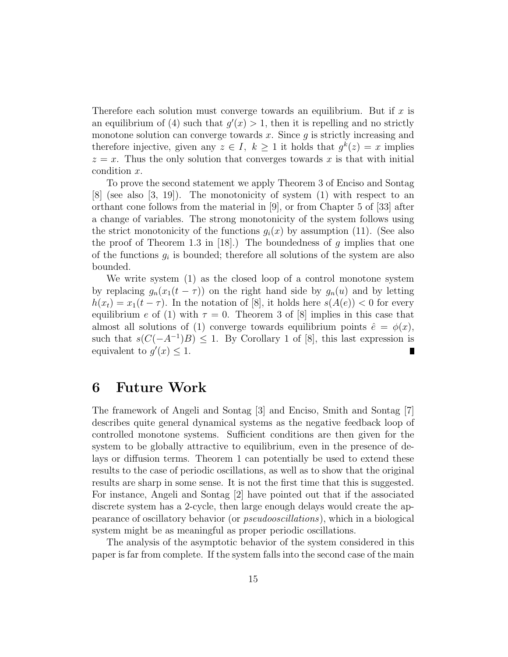Therefore each solution must converge towards an equilibrium. But if *x* is an equilibrium of (4) such that  $g'(x) > 1$ , then it is repelling and no strictly monotone solution can converge towards *x*. Since *g* is strictly increasing and therefore injective, given any  $z \in I$ ,  $k > 1$  it holds that  $q^k(z) = x$  implies  $z = x$ . Thus the only solution that converges towards x is that with initial condition *x*.

To prove the second statement we apply Theorem 3 of Enciso and Sontag [8] (see also [3, 19]). The monotonicity of system (1) with respect to an orthant cone follows from the material in [9], or from Chapter 5 of [33] after a change of variables. The strong monotonicity of the system follows using the strict monotonicity of the functions  $g_i(x)$  by assumption (11). (See also the proof of Theorem 1.3 in [18].) The boundedness of *g* implies that one of the functions  $g_i$  is bounded; therefore all solutions of the system are also bounded.

We write system (1) as the closed loop of a control monotone system by replacing  $g_n(x_1(t-\tau))$  on the right hand side by  $g_n(u)$  and by letting  $h(x_t) = x_1(t - \tau)$ . In the notation of [8], it holds here  $s(A(e)) < 0$  for every equilibrium *e* of (1) with  $\tau = 0$ . Theorem 3 of [8] implies in this case that almost all solutions of (1) converge towards equilibrium points  $\hat{e} = \phi(x)$ , such that  $s(C(-A^{-1})B) \leq 1$ . By Corollary 1 of [8], this last expression is equivalent to  $g'(x) \leq 1$ .

# **6 Future Work**

The framework of Angeli and Sontag [3] and Enciso, Smith and Sontag [7] describes quite general dynamical systems as the negative feedback loop of controlled monotone systems. Sufficient conditions are then given for the system to be globally attractive to equilibrium, even in the presence of delays or diffusion terms. Theorem 1 can potentially be used to extend these results to the case of periodic oscillations, as well as to show that the original results are sharp in some sense. It is not the first time that this is suggested. For instance, Angeli and Sontag [2] have pointed out that if the associated discrete system has a 2-cycle, then large enough delays would create the appearance of oscillatory behavior (or *pseudooscillations*), which in a biological system might be as meaningful as proper periodic oscillations.

The analysis of the asymptotic behavior of the system considered in this paper is far from complete. If the system falls into the second case of the main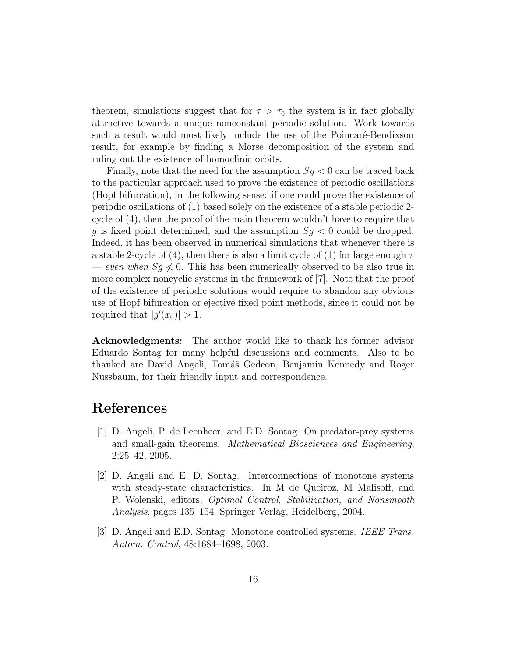theorem, simulations suggest that for  $\tau > \tau_0$  the system is in fact globally attractive towards a unique nonconstant periodic solution. Work towards such a result would most likely include the use of the Poincaré-Bendixson result, for example by finding a Morse decomposition of the system and ruling out the existence of homoclinic orbits.

Finally, note that the need for the assumption  $S_g < 0$  can be traced back to the particular approach used to prove the existence of periodic oscillations (Hopf bifurcation), in the following sense: if one could prove the existence of periodic oscillations of (1) based solely on the existence of a stable periodic 2 cycle of (4), then the proof of the main theorem wouldn't have to require that *g* is fixed point determined, and the assumption *Sg <* 0 could be dropped. Indeed, it has been observed in numerical simulations that whenever there is a stable 2-cycle of (4), then there is also a limit cycle of (1) for large enough *τ*  $\ell$  *even when*  $S_g \nleq 0$ . This has been numerically observed to be also true in more complex noncyclic systems in the framework of [7]. Note that the proof of the existence of periodic solutions would require to abandon any obvious use of Hopf bifurcation or ejective fixed point methods, since it could not be required that  $|g'(x_0)| > 1$ .

**Acknowledgments:** The author would like to thank his former advisor Eduardo Sontag for many helpful discussions and comments. Also to be thanked are David Angeli, Tomáš Gedeon, Benjamin Kennedy and Roger Nussbaum, for their friendly input and correspondence.

# **References**

- [1] D. Angeli, P. de Leenheer, and E.D. Sontag. On predator-prey systems and small-gain theorems. *Mathematical Biosciences and Engineering*, 2:25–42, 2005.
- [2] D. Angeli and E. D. Sontag. Interconnections of monotone systems with steady-state characteristics. In M de Queiroz, M Malisoff, and P. Wolenski, editors, *Optimal Control, Stabilization, and Nonsmooth Analysis*, pages 135–154. Springer Verlag, Heidelberg, 2004.
- [3] D. Angeli and E.D. Sontag. Monotone controlled systems. *IEEE Trans. Autom. Control*, 48:1684–1698, 2003.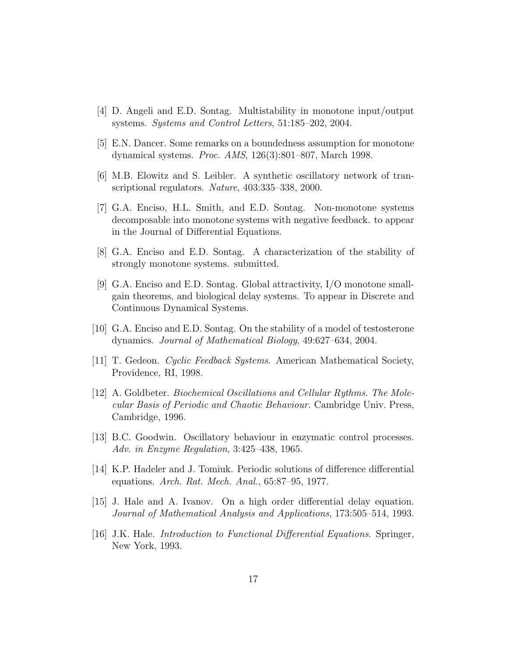- [4] D. Angeli and E.D. Sontag. Multistability in monotone input/output systems. *Systems and Control Letters*, 51:185–202, 2004.
- [5] E.N. Dancer. Some remarks on a boundedness assumption for monotone dynamical systems. *Proc. AMS*, 126(3):801–807, March 1998.
- [6] M.B. Elowitz and S. Leibler. A synthetic oscillatory network of transcriptional regulators. *Nature*, 403:335–338, 2000.
- [7] G.A. Enciso, H.L. Smith, and E.D. Sontag. Non-monotone systems decomposable into monotone systems with negative feedback. to appear in the Journal of Differential Equations.
- [8] G.A. Enciso and E.D. Sontag. A characterization of the stability of strongly monotone systems. submitted.
- [9] G.A. Enciso and E.D. Sontag. Global attractivity, I/O monotone smallgain theorems, and biological delay systems. To appear in Discrete and Continuous Dynamical Systems.
- [10] G.A. Enciso and E.D. Sontag. On the stability of a model of testosterone dynamics. *Journal of Mathematical Biology*, 49:627–634, 2004.
- [11] T. Gedeon. *Cyclic Feedback Systems*. American Mathematical Society, Providence, RI, 1998.
- [12] A. Goldbeter. *Biochemical Oscillations and Cellular Rythms. The Molecular Basis of Periodic and Chaotic Behaviour*. Cambridge Univ. Press, Cambridge, 1996.
- [13] B.C. Goodwin. Oscillatory behaviour in enzymatic control processes. *Adv. in Enzyme Regulation*, 3:425–438, 1965.
- [14] K.P. Hadeler and J. Tomiuk. Periodic solutions of difference differential equations. *Arch. Rat. Mech. Anal.*, 65:87–95, 1977.
- [15] J. Hale and A. Ivanov. On a high order differential delay equation. *Journal of Mathematical Analysis and Applications*, 173:505–514, 1993.
- [16] J.K. Hale. *Introduction to Functional Differential Equations*. Springer, New York, 1993.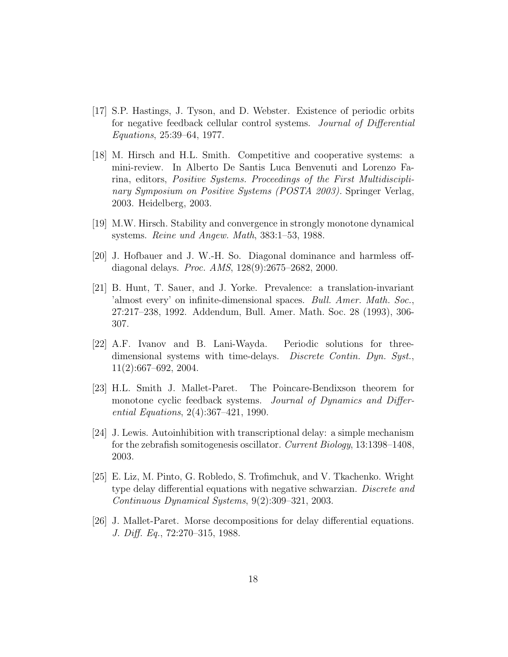- [17] S.P. Hastings, J. Tyson, and D. Webster. Existence of periodic orbits for negative feedback cellular control systems. *Journal of Differential Equations*, 25:39–64, 1977.
- [18] M. Hirsch and H.L. Smith. Competitive and cooperative systems: a mini-review. In Alberto De Santis Luca Benvenuti and Lorenzo Farina, editors, *Positive Systems. Proceedings of the First Multidisciplinary Symposium on Positive Systems (POSTA 2003).* Springer Verlag, 2003. Heidelberg, 2003.
- [19] M.W. Hirsch. Stability and convergence in strongly monotone dynamical systems. *Reine und Angew. Math*, 383:1–53, 1988.
- [20] J. Hofbauer and J. W.-H. So. Diagonal dominance and harmless offdiagonal delays. *Proc. AMS*, 128(9):2675–2682, 2000.
- [21] B. Hunt, T. Sauer, and J. Yorke. Prevalence: a translation-invariant 'almost every' on infinite-dimensional spaces. *Bull. Amer. Math. Soc.*, 27:217–238, 1992. Addendum, Bull. Amer. Math. Soc. 28 (1993), 306- 307.
- [22] A.F. Ivanov and B. Lani-Wayda. Periodic solutions for threedimensional systems with time-delays. *Discrete Contin. Dyn. Syst.*, 11(2):667–692, 2004.
- [23] H.L. Smith J. Mallet-Paret. The Poincare-Bendixson theorem for monotone cyclic feedback systems. *Journal of Dynamics and Differential Equations*, 2(4):367–421, 1990.
- [24] J. Lewis. Autoinhibition with transcriptional delay: a simple mechanism for the zebrafish somitogenesis oscillator. *Current Biology*, 13:1398–1408, 2003.
- [25] E. Liz, M. Pinto, G. Robledo, S. Trofimchuk, and V. Tkachenko. Wright type delay differential equations with negative schwarzian. *Discrete and Continuous Dynamical Systems*, 9(2):309–321, 2003.
- [26] J. Mallet-Paret. Morse decompositions for delay differential equations. *J. Diff. Eq.*, 72:270–315, 1988.